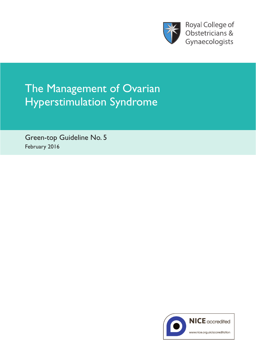

**Royal College of** Obstetricians & Gynaecologists

# The Management of Ovarian Hyperstimulation Syndrome

Green-top Guideline No. 5 February 2016

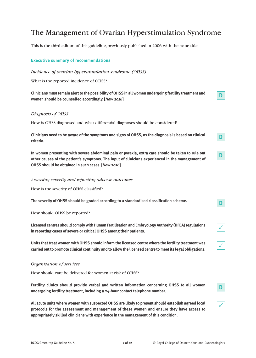# The Management of Ovarian Hyperstimulation Syndrome

This is the third edition of this guideline, previously published in 2006 with the same title.

# **Executive summary of recommendations**

# *Incidence of ovarian hyperstimulation syndrome (OHSS)*

What is the reported incidence of OHSS?

**Clinicians mustremain alertto the possibility ofOHSS in all women undergoing fertility treatment and women should be counselled accordingly. [***New 2016***]**

# *Diagnosis of OHSS*

How is OHSS diagnosed and what differential diagnoses should be considered?

Clinicians need to be aware of the symptoms and signs of OHSS, as the diagnosis is based on clinical **criteria.**

**In women presenting with severe abdominal pain or pyrexia, extra care should be taken to rule out other causes of the patient's symptoms. The input of clinicians experienced in the management of OHSS should be obtained in such cases. [***New 2016***]**

#### *Assessing severity and reporting adverse outcomes*

How is the severity of OHSS classified?

**The severity of OHSS should be graded according to a standardised classification scheme.**

How should OHSS be reported?

**Licensed centres should comply withHuman Fertilisation and Embryology Authority (HFEA)regulations in reporting cases of severe or critical OHSS among their patients.**

**Units that treat women with OHSS should inform the licensed centre where the fertility treatment was carried outto promote clinical continuity and to allow the licensed centre to meetits legal obligations.**

#### *Organisation of services*

How should care be delivered for women at risk of OHSS?

**Fertility clinics should provide verbal and written information concerning OHSS to all women undergoing fertility treatment, including a 24-hour contact telephone number.**

**All acute units where women with suspected OHSS are likely to present should establish agreed local protocols for the assessment and management of these women and ensure they have access to appropriately skilled clinicians with experience in the management of this condition.**

**D**

**D**

**D**

**D**

 $\checkmark$ 

 $\checkmark$ 

 $\checkmark$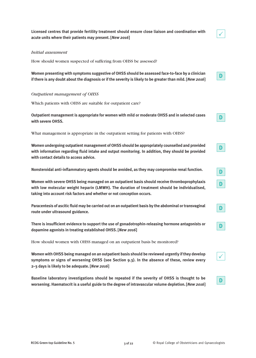**Licensed centres that provide fertility treatment should ensure close liaison and coordination with acute units where their patients may present. [***New 2016***]**

## *Initial assessment*

How should women suspected of suffering from OHSS be assessed?

**Women presenting with symptoms suggestive of OHSS should be assessed face-to-face by a clinician** if there is any doubt about the diagnosis or if the severity is likely to be greater than mild. [New 2016]

#### *Outpatient management of OHSS*

Which patients with OHSS are suitable for outpatient care?

**Outpatient management is appropriate for women with mild or moderate OHSS and in selected cases with severe OHSS.**

What management is appropriate in the outpatient setting for patients with OHSS?

**Women undergoing outpatient management ofOHSS should be appropriately counselled and provided with information regarding fluid intake and output monitoring. In addition, they should be provided with contact details to access advice.**

**Nonsteroidal anti-inflammatory agents should be avoided, as they may compromise renal function.**

**Women with severe OHSS being managed on an outpatient basis should receive thromboprophylaxis with low molecular weight heparin (LMWH). The duration of treatment should be individualised, taking into account risk factors and whether or not conception occurs.**

**Paracentesis of ascitic fluid may be carried out on an outpatient basis by the abdominal ortransvaginal route under ultrasound guidance.**

**There is insufficient evidence to support the use of gonadotrophin-releasing hormone antagonists or dopamine agonists in treating established OHSS. [***New 2016***]**

How should women with OHSS managed on an outpatient basis be monitored?

**Women withOHSS being managed on an outpatient basis should be reviewed urgently ifthey develop symptoms or signs of worsening OHSS (see Section 9.3). In the absence of these, review every 2–3 days is likely to be adequate. [***New 2016***]**

**Baseline laboratory investigations should be repeated if the severity of OHSS is thought to be worsening. Haematocrit is a useful guide to the degree of intravascular volume depletion. [***New 2016***]**  $\checkmark$ 

**D**

**D**

**D**

**D**

**D**

**D**

**D**

**D**

 $\checkmark$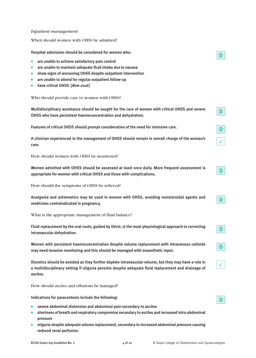# *Inpatient management*

When should women with OHSS be admitted?

**Hospital admission should be considered for women who:**

- **are unable to achieve satisfactory pain control**
- **are unable to maintain adequate fluid intake due to nausea**
- **show signs of worsening OHSS despite outpatient intervention**
- **are unable to attend for regular outpatient follow-up**
- **have critical OHSS. [***New 2016***]**

| Who should provide care to women with OHSS?                                                                                                                                                                              |              |
|--------------------------------------------------------------------------------------------------------------------------------------------------------------------------------------------------------------------------|--------------|
| Multidisciplinary assistance should be sought for the care of women with critical OHSS and severe<br>OHSS who have persistent haemoconcentration and dehydration.                                                        | D            |
| Features of critical OHSS should prompt consideration of the need for intensive care.                                                                                                                                    | D            |
| A clinician experienced in the management of OHSS should remain in overall charge of the woman's<br>care.                                                                                                                |              |
| How should women with OHSS be monitored?                                                                                                                                                                                 |              |
| Women admitted with OHSS should be assessed at least once daily. More frequent assessment is<br>appropriate for women with critical OHSS and those with complications.                                                   | D            |
| How should the symptoms of OHSS be relieved?                                                                                                                                                                             |              |
| Analgesia and antiemetics may be used in women with OHSS, avoiding nonsteroidal agents and<br>medicines contraindicated in pregnancy.                                                                                    | D            |
| What is the appropriate management of fluid balance?                                                                                                                                                                     |              |
| Fluid replacement by the oral route, guided by thirst, is the most physiological approach to correcting<br>intravascular dehydration.                                                                                    | D            |
| Women with persistent haemoconcentration despite volume replacement with intravenous colloids<br>may need invasive monitoring and this should be managed with anaesthetic input.                                         | D            |
| Diuretics should be avoided as they further deplete intravascular volume, but they may have a role in<br>a multidisciplinary setting if oliguria persists despite adequate fluid replacement and drainage of<br>ascites. | $\checkmark$ |
| How should ascites and effusions be managed?                                                                                                                                                                             |              |
| Indications for paracentesis include the following:                                                                                                                                                                      | D            |
| severe abdominal distension and abdominal pain secondary to ascites<br>$\bullet$<br>shortness of breath and respiratory compromise secondary to ascites and increased intra-abdominal<br>$\bullet$<br>pressure           |              |

● **oliguria despite adequate volume replacement, secondary to increased abdominal pressure causing reduced renal perfusion.**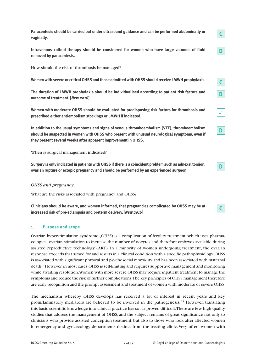**Paracentesis should be carried out under ultrasound guidance and can be performed abdominally or Intravenous colloid therapy should be considered for women who have large volumes of fluid** How should the risk of thrombosis be managed? **Women with severe or criticalOHSS and those admitted withOHSS should receive LMWH prophylaxis. The duration of LMWH prophylaxis should be individualised according to patient risk factors and outcome of treatment. [***New 2016***] Women with moderate OHSS should be evaluated for predisposing risk factors for thrombosis and prescribed either antiembolism stockings or LMWH if indicated. In addition to the usual symptoms and signs of venous thromboembolism (VTE), thromboembolism should be suspected in women with OHSS who present with unusual neurological symptoms, even if they present several weeks after apparent improvement in OHSS. D C C D D**  $\checkmark$ 

When is surgical management indicated?

**Surgery is only indicated in patients withOHSS ifthere is a coincident problemsuch as adnexaltorsion, ovarian rupture or ectopic pregnancy and should be performed by an experienced surgeon.**

# *OHSS and pregnancy*

**vaginally.**

**removed by paracentesis.**

What are the risks associated with pregnancy and OHSS?

**Clinicians should be aware, and women informed, that pregnancies complicated by OHSS may be at increased risk of pre-eclampsia and preterm delivery. [***New 2016***]**

#### **1. Purpose and scope**

Ovarian hyperstimulation syndrome (OHSS) is a complication of fertility treatment, which uses pharmacological ovarian stimulation to increase the number of oocytes and therefore embryos available during assisted reproductive technology (ART). In a minority of women undergoing treatment, the ovarian response exceeds that aimed for and results in a clinical condition with a specific pathophysiology.OHSS is associated with significant physical and psychosocial morbidity and has been associated with maternal death. <sup>1</sup> However,in most cases OHSS is self-limiting and requires supportive management and monitoring while awaiting resolution.Women with more severe OHSS may require inpatient treatment to manage the symptoms and reduce the risk of further complications.The key principles of OHSS management therefore are early recognition and the prompt assessment and treatment of women with moderate or severe OHSS.

The mechanism whereby OHSS develops has received a lot of interest in recent years and key proinflammatory mediators are believed to be involved in the pathogenesis.<sup>2,3</sup> However, translating this basic scientific knowledge into clinical practice has so far proved difficult.There are few high quality studies that address the management of OHSS, and the subject remains of great significance not only to clinicians who provide assisted conception treatment, but also to those who look after affected women in emergency and gynaecology departments distinct from the treating clinic.Very often, women with

**D**

**C**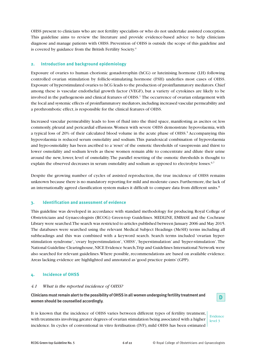OHSS present to clinicians who are not fertility specialists or who do not undertake assisted conception. This guideline aims to review the literature and provide evidence-based advice to help clinicians diagnose and manage patients with OHSS. Prevention of OHSS is outside the scope of this guideline and is covered by guidance from the British Fertility Society. 4

# **2. Introduction and background epidemiology**

Exposure of ovaries to human chorionic gonadotrophin (hCG) or luteinising hormone (LH) following controlled ovarian stimulation by follicle-stimulating hormone (FSH) underlies most cases of OHSS. Exposure of hyperstimulated ovaries to hCG leads to the production of proinflammatory mediators.Chief among these is vascular endothelial growth factor (VEGF), but a variety of cytokines are likely to be involved in the pathogenesis and clinical features of OHSS. <sup>1</sup> The occurrence of ovarian enlargement with the local and systemic effects of proinflammatory mediators,including increased vascular permeability and a prothrombotic effect, is responsible for the clinical features of OHSS.

Increased vascular permeability leads to loss of fluid into the third space, manifesting as ascites or, less commonly, pleural and pericardial effusions.Women with severe OHSS demonstrate hypovolaemia, with a typical loss of 20% of their calculated blood volume in the acute phase of OHSS. <sup>5</sup> Accompanying this hypovolaemia is reduced serum osmolality and sodium.This paradoxical combination of hypovolaemia and hypo-osmolality has been ascribed to a 'reset' of the osmotic thresholds of vasopressin and thirst to lower osmolality and sodium levels as these women remain able to concentrate and dilute their urine around the new, lower, level of osmolality.The parallel resetting of the osmotic thresholds is thought to explain the observed decreases in serum osmolality and sodium as opposed to electrolyte losses.<sup>6,7</sup>

Despite the growing number of cycles of assisted reproduction, the true incidence of OHSS remains unknown because there is no mandatory reporting for mild and moderate cases. Furthermore, the lack of an internationally agreed classification system makes it difficult to compare data from different units. $^8$ 

# **3. Identification and assessment of evidence**

This guideline was developed in accordance with standard methodology for producing Royal College of Obstetricians and Gynaecologists (RCOG) Green-top Guidelines. MEDLINE, EMBASE and the Cochrane Library were searched.The search was restricted to articles published between January 2006 and May 2015. The databases were searched using the relevant Medical Subject Headings (MeSH) terms including all subheadings and this was combined with a keyword search. Search terms included 'ovarian hyperstimulation syndrome','ovary hyperstimulation','OHSS','hyperstimulation' and 'hyper-stimulation'.The National Guideline Clearinghouse,NICE Evidence Search,Trip and Guidelines International Network were also searched for relevant guidelines. Where possible, recommendations are based on available evidence. Areas lacking evidence are highlighted and annotated as'good practice points'(GPP).

# **4. Incidence of OHSS**

# *4.1 What is the reported incidence of OHSS?*

**Clinicians mustremain alertto the possibility ofOHSS in all women undergoing fertility treatment and women should be counselled accordingly.**

It is known that the incidence of OHSS varies between different types of fertility treatment, with treatments involving greater degrees of ovarian stimulation being associated with a higher incidence. In cycles of conventional in vitro fertilisation (IVF), mild OHSS has been estimated

Evidence level 3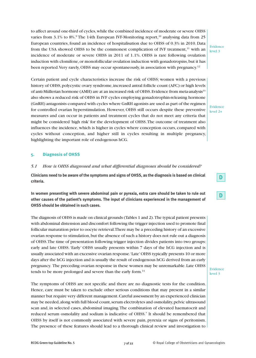to affect around one-third of cycles,while the combined incidence of moderate or severe OHSS varies from 3.1% to 8%.<sup>9</sup> The 14th European IVF-Monitoring report,<sup>10</sup> analysing data from 25 European countries, found an incidence of hospitalisation due to OHSS of 0.3% in 2010. Data from the USA showed OHSS to be the commonest complication of IVF treatment,<sup>11</sup> with an incidence of moderate or severe OHSS in 2011 of 1.1%. OHSS is rare following ovulation induction with clomifene, or monofollicular ovulation induction with gonadotropins, but it has been reported. Very rarely, OHSS may occur spontaneously, in association with pregnancy.<sup>12</sup>

Evidence level 3

Certain patient and cycle characteristics increase the risk of OHSS; women with a previous history of OHSS, polycystic ovary syndrome, increased antral follicle count (AFC) or high levels of anti-Müllerian hormone (AMH) are at an increased risk of OHSS. Evidence from meta-analysis<sup>13</sup> also shows a reduced risk of OHSS in IVF cycles employing gonadotrophin-releasing hormone (GnRH) antagonists compared with cycles where GnRH agonists are used as part of the regimen for controlled ovarian hyperstimulation. However, OHSS still occurs despite these preventive measures and can occur in patients and treatment cycles that do not meet any criteria that might be considered 'high risk' for the development of OHSS.The outcome of treatment also influences the incidence, which is higher in cycles where conception occurs, compared with cycles without conception, and higher still in cycles resulting in multiple pregnancy, highlighting the important role of endogenous hCG.

# **5. Diagnosis of OHSS**

#### *5.1 How is OHSS diagnosed and what differential diagnoses should be considered?*

Clinicians need to be aware of the symptoms and signs of OHSS, as the diagnosis is based on clinical **criteria.**

**In women presenting with severe abdominal pain or pyrexia, extra care should be taken to rule out other causes of the patient's symptoms. The input of clinicians experienced in the management of OHSS should be obtained in such cases.**

The diagnosis of OHSS is made on clinical grounds (Tables 1 and 2).The typical patient presents with abdominal distension and discomfort following the trigger injection used to promote final follicular maturation prior to oocyte retrieval.There may be a preceding history of an excessive ovarian response to stimulation,but the absence of such a history does not rule out a diagnosis of OHSS.The time of presentation following trigger injection divides patients into two groups: early and late OHSS.'Early' OHSS usually presents within 7 days of the hCG injection and is usually associated with an excessive ovarian response.'Late'OHSS typically presents 10 or more days after the hCG injection and is usually the result of endogenous hCG derived from an early pregnancy. The preceding ovarian response in these women may be unremarkable. Late OHSS tends to be more prolonged and severe than the early form.<sup>14</sup>

The symptoms of OHSS are not specific and there are no diagnostic tests for the condition. Hence, care must be taken to exclude other serious conditions that may present in a similar manner but require very different management.Careful assessment by an experienced clinician may be needed, along with full blood count, serum electrolytes and osmolality, pelvic ultrasound scan and, in selected cases, abdominal imaging.The combination of elevated haematocrit and reduced serum osmolality and sodium is indicative of OHSS.<sup>7</sup> It should be remembered that OHSS by itself is not commonly associated with severe pain, pyrexia or signs of peritonism. The presence of these features should lead to a thorough clinical review and investigation to

Evidence level 2+



Evidence level 3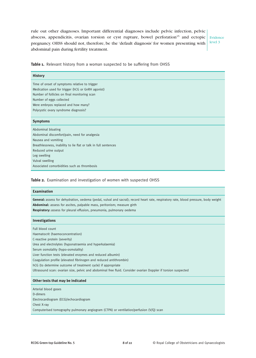rule out other diagnoses. Important differential diagnoses include pelvic infection, pelvic abscess, appendicitis, ovarian torsion or cyst rupture, bowel perforation<sup>15</sup> and ectopic pregnancy. OHSS should not, therefore, be the 'default diagnosis' for women presenting with abdominal pain during fertility treatment.

Evidence level 3

**Table 1.** Relevant history from a woman suspected to be suffering from OHSS

| <b>History</b>                                                  |  |  |
|-----------------------------------------------------------------|--|--|
| Time of onset of symptoms relative to trigger                   |  |  |
| Medication used for trigger (hCG or GnRH agonist)               |  |  |
| Number of follicles on final monitoring scan                    |  |  |
| Number of eggs collected                                        |  |  |
| Were embryos replaced and how many?                             |  |  |
| Polycystic ovary syndrome diagnosis?                            |  |  |
|                                                                 |  |  |
| <b>Symptoms</b>                                                 |  |  |
| Abdominal bloating                                              |  |  |
| Abdominal discomfort/pain, need for analgesia                   |  |  |
| Nausea and vomiting                                             |  |  |
| Breathlessness, inability to lie flat or talk in full sentences |  |  |
| Reduced urine output                                            |  |  |
| Leg swelling                                                    |  |  |
| Vulval swelling                                                 |  |  |
| Associated comorbidities such as thrombosis                     |  |  |
|                                                                 |  |  |

**Table 2.** Examination and investigation of women with suspected OHSS

#### **Examination**

**General:** assess for dehydration, oedema (pedal, vulval and sacral); record heart rate, respiratory rate, blood pressure, body weight **Abdominal:** assess for ascites, palpable mass, peritonism; measure girth

**Respiratory:** assess for pleural effusion, pneumonia, pulmonary oedema

#### **Investigations**

Full blood count Haematocrit (haemoconcentration) C-reactive protein (severity) Urea and electrolytes (hyponatraemia and hyperkalaemia) Serum osmolality (hypo-osmolality) Liver function tests (elevated enzymes and reduced albumin) Coagulation profile (elevated fibrinogen and reduced antithrombin) hCG (to determine outcome of treatment cycle) if appropriate Ultrasound scan: ovarian size, pelvic and abdominal free fluid. Consider ovarian Doppler if torsion suspected

#### **Other tests that may be indicated**

Arterial blood gases D-dimers Electrocardiogram (ECG)/echocardiogram Chest X-ray Computerised tomography pulmonary angiogram (CTPA) or ventilation/perfusion (V/Q) scan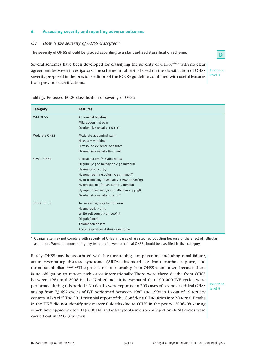# **6. Assessing severity and reporting adverse outcomes**

# *6.1 How is the severity of OHSS classified?*

**The severity of OHSS should be graded according to a standardised classification scheme.**

Several schemes have been developed for classifying the severity of OHSS,<sup>16-19</sup> with no clear agreement between investigators.The scheme inTable 3 is based on the classification of OHSS severity proposed in the previous edition of the RCOG guideline combined with useful features from previous classifications.

Evidence level 4

**D**

| Category             | <b>Features</b>                              |
|----------------------|----------------------------------------------|
| Mild OHSS            | Abdominal bloating                           |
|                      | Mild abdominal pain                          |
|                      | Ovarian size usually $<$ 8 cm <sup>a</sup>   |
| Moderate OHSS        | Moderate abdominal pain                      |
|                      | Nausea $\pm$ vomiting                        |
|                      | Ultrasound evidence of ascites               |
|                      | Ovarian size usually 8-12 cm <sup>a</sup>    |
| Severe OHSS          | Clinical ascites $($ ± hydrothorax $)$       |
|                      | Oliguria (< 300 ml/day or < 30 ml/hour)      |
|                      | Haematocrit $> 0.45$                         |
|                      | Hyponatraemia (sodium < 135 mmol/l)          |
|                      | Hypo-osmolality (osmolality $<$ 282 mOsm/kg) |
|                      | Hyperkalaemia (potassium $> 5$ mmol/l)       |
|                      | Hypoproteinaemia (serum albumin < 35 $g/l$ ) |
|                      | Ovarian size usually $> 12$ cm <sup>a</sup>  |
| <b>Critical OHSS</b> | Tense ascites/large hydrothorax              |
|                      | Haematocrit $> 0.55$                         |
|                      | White cell count $>$ 25 000/ml               |
|                      | Oliguria/anuria                              |
|                      | Thromboembolism                              |
|                      | Acute respiratory distress syndrome          |

**Table 3.** Proposed RCOG classification of severity of OHSS

a Ovarian size may not correlate with severity of OHSS in cases of assisted reproduction because of the effect of follicular aspiration. Women demonstrating any feature of severe or critical OHSS should be classified in that category.

Rarely, OHSS may be associated with life-threatening complications, including renal failure, acute respiratory distress syndrome (ARDS), haemorrhage from ovarian rupture, and thromboembolism.<sup>1,2,20-22</sup> The precise risk of mortality from OHSS is unknown, because there is no obligation to report such cases internationally. There were three deaths from OHSS between 1984 and 2008 in the Netherlands; it is estimated that 100 000 IVF cycles were performed during this period. <sup>1</sup> No deaths were reported in 209 cases of severe or critical OHSS arising from 73 492 cycles of IVF performed between 1987 and 1996 in 16 out of 19 tertiary centres in Israel. <sup>23</sup> The 2011 triennial report of the Confidential Enquiries into Maternal Deaths in the UK<sup>24</sup> did not identify any maternal deaths due to OHSS in the period 2006–08, during which time approximately 119 000 IVF and intracytoplasmic sperm injection (ICSI) cycles were carried out in 92 813 women.

Evidence level 3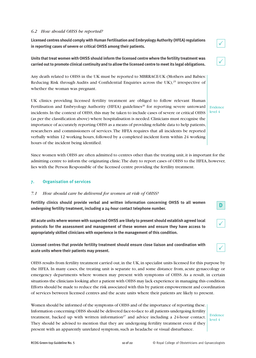# *6.2 How should OHSS be reported?*

**Licensed** centres should comply with Human Fertilisation and Embryology Authority (HFEA) regulations **in reporting cases of severe or critical OHSS among their patients.**

**Units that treat women with OHSS should inform the licensed centre where the fertility treatment was carried outto promote clinical continuity and to allow the licensed centre to meetits legal obligations.**

Any death related to OHSS in the UK must be reported to MBRRACE-UK (Mothers and Babies: Reducing Risk through Audits and Confidential Enquiries across the UK),<sup>25</sup> irrespective of whether the woman was pregnant.

UK clinics providing licensed fertility treatment are obliged to follow relevant Human Fertilisation and Embryology Authority (HFEA) guidelines<sup>26</sup> for reporting severe untoward incidents. In the context of OHSS, this may be taken to include cases of severe or critical OHSS (as per the classification above) where hospitalisation is needed.Clinicians must recognise the importance of accurately reporting OHSS as a means of providing reliable data to help patients, researchers and commissioners of services.The HFEA requires that all incidents be reported verbally within 12 working hours, followed by a completed incident form within 24 working hours of the incident being identified.

Since women with OHSS are often admitted to centres other than the treating unit,it is important for the admitting centre to inform the originating clinic.The duty to report cases of OHSS to the HFEA,however, lies with the Person Responsible of the licensed centre providing the fertility treatment.

#### **7. Organisation of services**

#### *7.1 How should care be delivered for women at risk of OHSS?*

**Fertility clinics should provide verbal and written information concerning OHSS to all women undergoing fertility treatment, including a 24-hour contact telephone number.**

**All acute units where women with suspected OHSS are likely to present should establish agreed local protocols for the assessment and management of these women and ensure they have access to appropriately skilled clinicians with experience in the management of this condition.**

**Licensed centres that provide fertility treatment should ensure close liaison and coordination with acute units where their patients may present.**

OHSS results from fertility treatment carried out,in the UK,in specialist units licensed for this purpose by the HFEA. In many cases, the treating unit is separate to, and some distance from, acute gynaecology or emergency departments where women may present with symptoms of OHSS. As a result, in certain situations the clinicians looking after a patient with OHSS may lack experience in managing this condition. Efforts should be made to reduce the risk associated with this by patient empowerment and coordination of services between licensed centres and the acute units where their patients are likely to present.

Women should be informed of the symptoms of OHSS and of the importance of reporting these. Information concerning OHSS should be delivered face-to-face to all patients undergoing fertility treatment, backed up with written information<sup>27</sup> and advice including a 24-hour contact. They should be advised to mention that they are undergoing fertility treatment even if they present with an apparently unrelated symptom,such as headache or visual disturbance.

Evidence level 4

**D**

 $\checkmark$ 

 $\checkmark$ 

 $\checkmark$ 

 $\checkmark$ 

Evidence level 4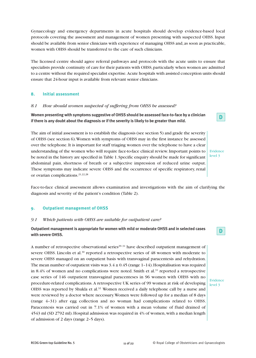Gynaecology and emergency departments in acute hospitals should develop evidence-based local protocols covering the assessment and management of women presenting with suspected OHSS. Input should be available from senior clinicians with experience of managing OHSS and, as soon as practicable, women with OHSS should be transferred to the care of such clinicians.

The licensed centre should agree referral pathways and protocols with the acute units to ensure that specialists provide continuity of care for their patients with OHSS, particularly when women are admitted to a centre without the required specialist expertise.Acute hospitals with assisted conception units should ensure that 24-hour input is available from relevant senior clinicians.

# **8. Initial assessment**

# *8.1 How should women suspected of suffering from OHSS be assessed?*

**Women presenting with symptoms suggestive of OHSS should be assessed face-to-face by a clinician** if there is any doubt about the diagnosis or if the severity is likely to be greater than mild.

The aim of initial assessment is to establish the diagnosis (see section 5) and grade the severity of OHSS (see section 6).Women with symptoms of OHSS may in the first instance be assessed over the telephone.It is important for staff triaging women over the telephone to have a clear understanding of the women who will require face-to-face clinical review.Important points to be noted in the history are specified in Table 1. Specific enquiry should be made for significant abdominal pain, shortness of breath or a subjective impression of reduced urine output. These symptoms may indicate severe OHSS and the occurrence of specific respiratory, renal or ovarian complications. 21,22,28

Face-to-face clinical assessment allows examination and investigations with the aim of clarifying the diagnosis and severity of the patient's condition (Table 2).

# **9. Outpatient management of OHSS**

# *9.1 Which patients with OHSS are suitable for outpatient care?*

**Outpatient management is appropriate for women with mild or moderate OHSS and in selected cases with severe OHSS.**

A number of retrospective observational series<sup>29–31</sup> have described outpatient management of severe OHSS. Lincoln et al.<sup>30</sup> reported a retrospective series of 48 women with moderate to severe OHSS managed on an outpatient basis with transvaginal paracentesis and rehydration. The mean number of outpatient visits was  $3.4 \pm 0.45$  (range 1-14). Hospitalisation was required in 8.4% of women and no complications were noted. Smith et al.<sup>31</sup> reported a retrospective case series of 146 outpatient transvaginal paracenteses in 96 women with OHSS with no procedure-related complications. A retrospective UK series of 99 women at risk of developing OHSS was reported by Shukla et al.<sup>32</sup> Women received a daily telephone call by a nurse and were reviewed by a doctor where necessary.Women were followed up for a median of 8 days (range 4–31) after egg collection and no woman had complications related to OHSS. Paracentesis was carried out in 7.1% of women with a mean volume of fluid drained of 4543 ml (SD 2792 ml).Hospital admission was required in 4% of women,with a median length of admission of 2 days (range 2–5 days).

Evidence level 3

**D**

Evidence level 3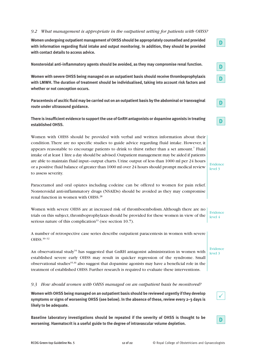# *9.2 What management is appropriate in the outpatient setting for patients with OHSS?*

**Women undergoing outpatient management ofOHSS should be appropriately counselled and provided with information regarding fluid intake and output monitoring. In addition, they should be provided with contact details to access advice.**

**Nonsteroidal anti-inflammatory agents should be avoided, as they may compromise renal function.**

**Women with severe OHSS being managed on an outpatient basis should receive thromboprophylaxis with LMWH. The duration of treatment should be individualised, taking into account risk factors and whether or not conception occurs.**

**Paracentesis of ascitic fluid may be carried out on an outpatient basis by the abdominal ortransvaginal route under ultrasound guidance.**

**There is insufficient evidence to supportthe use of GnRH antagonists or dopamine agonists in treating established OHSS.**

Women with OHSS should be provided with verbal and written information about their condition.There are no specific studies to guide advice regarding fluid intake. However, it appears reasonable to encourage patients to drink to thirst rather than a set amount.<sup>7</sup> Fluid intake of at least 1 litre a day should be advised.Outpatient management may be aided if patients are able to maintain fluid input–output charts.Urine output of less than 1000 ml per 24 hours or a positive fluid balance of greater than 1000 ml over 24 hours should prompt medical review to assess severity.

Paracetamol and oral opiates including codeine can be offered to women for pain relief. Nonsteroidal anti-inflammatory drugs (NSAIDs) should be avoided as they may compromise renal function in women with OHSS. 28

Women with severe OHSS are at increased risk of thromboembolism.Although there are no trials on this subject, thromboprophylaxis should be provided for these women in view of the serious nature of this complication<sup>33</sup> (see section 10.7). level 4

A number of retrospective case series describe outpatient paracentesis in women with severe OHSS. 30–32

An observational study<sup>34</sup> has suggested that GnRH antagonist administration in women with established severe early OHSS may result in quicker regression of the syndrome. Small observational studies<sup>35,36</sup> also suggest that dopamine agonists may have a beneficial role in the treatment of established OHSS. Further research is required to evaluate these interventions.

#### *9.3 How should women with OHSS managed on an outpatient basis be monitored?*

**Women withOHSS being managed on an outpatient basis should be reviewed urgently ifthey develop symptoms or signs of worsening OHSS (see below). In the absence of these, review every 2–3 days is likely to be adequate.**

**Baseline laboratory investigations should be repeated if the severity of OHSS is thought to be worsening. Haematocrit is a useful guide to the degree of intravascular volume depletion.**

Evidence

Evidence

**D**

**D**

**D**

**D**

**D**

Evidence level 3

 $\checkmark$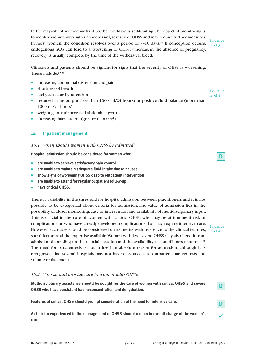In the majority of women with OHSS, the condition is self-limiting. The object of monitoring is to identify women who suffer an increasing severity of OHSS and may require further measures. In most women, the condition resolves over a period of 7-10 days.<sup>37</sup> If conception occurs, endogenous hCG can lead to a worsening of OHSS, whereas, in the absence of pregnancy, recovery is usually complete by the time of the withdrawal bleed.

Evidence level 3

Clinicians and patients should be vigilant for signs that the severity of OHSS is worsening. These include: 38,39

- increasing abdominal distension and pain
- shortness of breath
- tachycardia or hypotension
- reduced urine output (less than 1000 ml/24 hours) or positive fluid balance (more than 1000 ml/24 hours)
- weight gain and increased abdominal girth
- increasing haematocrit (greater than 0.45).

#### **10. Inpatient management**

#### *10.1 When should women with OHSS be admitted?*

**Hospital admission should be considered for women who:**

- **are unable to achieve satisfactory pain control**
- **are unable to maintain adequate fluid intake due to nausea**
- **show signs of worsening OHSS despite outpatient intervention**
- **are unable to attend for regular outpatient follow-up**
- **have critical OHSS.**

There is variability in the threshold for hospital admission between practitioners and it is not possible to be categorical about criteria for admission. The value of admission lies in the possibility of closer monitoring, ease of intervention and availability of multidisciplinary input. This is crucial in the care of women with critical OHSS, who may be at imminent risk of complications or who have already developed complications that may require intensive care. However, each case should be considered on its merits with reference to the clinical features, social factors and the expertise available.Women with less severe OHSS may also benefit from admission depending on their social situation and the availability of out-of-hours expertise.<sup>38</sup> The need for paracentesis is not in itself an absolute reason for admission, although it is recognised that several hospitals may not have easy access to outpatient paracentesis and volume replacement.

#### *10.2 Who should provide care to women with OHSS?*

**Multidisciplinary assistance should be sought for the care of women with critical OHSS and severe OHSS who have persistent haemoconcentration and dehydration.**

**Features of critical OHSS should prompt consideration of the need for intensive care.**

**A clinician experienced in the management of OHSS should remain in overall charge of the woman's care.**

Evidence level 4

**D**

Evidence level 4

**D**

**D**

 $\checkmark$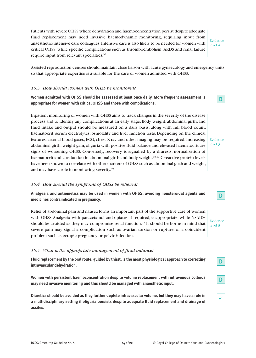Patients with severe OHSS where dehydration and haemoconcentration persist despite adequate fluid replacement may need invasive haemodynamic monitoring, requiring input from anaesthetic/intensive care colleagues.Intensive care is also likely to be needed for women with critical OHSS, while specific complications such as thromboembolism, ARDS and renal failure require input from relevant specialties.<sup>38</sup>

Evidence level 4

Assisted reproduction centres should maintain close liaison with acute gynaecology and emergency units, so that appropriate expertise is available for the care of women admitted with OHSS.

#### *10.3 How should women with OHSS be monitored?*

**Women admitted with OHSS should be assessed at least once daily. More frequent assessment is appropriate for women with critical OHSS and those with complications.**

Inpatient monitoring of women with OHSS aims to track changes in the severity of the disease process and to identify any complications at an early stage. Body weight, abdominal girth, and fluid intake and output should be measured on a daily basis, along with full blood count, haematocrit, serum electrolytes, osmolality and liver function tests. Depending on the clinical features, arterial blood gases, ECG, chest X-ray and other imaging may be required. Increasing abdominal girth, weight gain, oliguria with positive fluid balance and elevated haematocrit are signs of worsening OHSS. Conversely, recovery is signalled by a diuresis, normalisation of haematocrit and a reduction in abdominal girth and body weight.<sup>38,39</sup> C-reactive protein levels have been shown to correlate with other markers of OHSS such as abdominal girth and weight, and may have a role in monitoring severity. 40

#### *10.4 How should the symptoms of OHSS be relieved?*

**Analgesia and antiemetics may be used in women with OHSS, avoiding nonsteroidal agents and medicines contraindicated in pregnancy.**

Relief of abdominal pain and nausea forms an important part of the supportive care of women with OHSS.Analgesia with paracetamol and opiates, if required, is appropriate, while NSAIDs should be avoided as they may compromise renal function. <sup>28</sup> It should be borne in mind that severe pain may signal a complication such as ovarian torsion or rupture, or a coincident problem such as ectopic pregnancy or pelvic infection.

#### *10.5 What is the appropriate management of fluid balance?*

**Fluid replacement by the oral route, guided by thirst, is the most physiological approach to correcting intravascular dehydration.**

**Women with persistent haemoconcentration despite volume replacement with intravenous colloids may need invasive monitoring and this should be managed with anaesthetic input.**

**Diuretics should be avoided as they further deplete intravascular volume, but they may have a role in a multidisciplinary setting if oliguria persists despite adequate fluid replacement and drainage of ascites.**

Evidence level 3



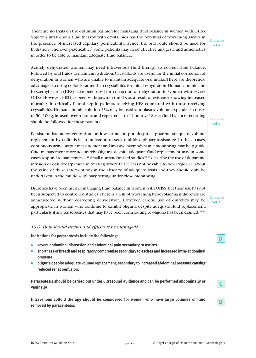There are no trials on the optimum regimen for managing fluid balance in women with OHSS. Vigorous intravenous fluid therapy with crystalloids has the potential of worsening ascites in the presence of increased capillary permeability. Hence, the oral route should be used for hydration wherever practicable.<sup>7</sup> Some patients may need effective analgesia and antiemetics in order to be able to maintain adequate fluid balance.

#### Evidence level 4

Acutely dehydrated women may need intravenous fluid therapy to correct fluid balance, followed by oral fluids to maintain hydration.Crystalloids are useful for the initial correction of dehydration in women who are unable to maintain adequate oral intake.There are theoretical advantages to using colloids rather than crystalloids for initial rehydration.Human albumin and hexaethyl starch (HES) have been used for correction of dehydration in women with severe OHSS. However, HES has been withdrawn in the UK as a result of evidence showing increased mortality in critically ill and septic patients receiving HES compared with those receiving crystalloids. Human albumin solution 25% may be used as a plasma volume expander in doses of 50-100 g, infused over 4 hours and repeated 4- to 12-hourly.<sup>38</sup> Strict fluid balance recording should be followed for these patients.

Persistent haemoconcentration or low urine output despite apparent adequate volume replacement by colloids is an indication to seek multidisciplinary assistance. In these cases, continuous urine output measurement and invasive haemodynamic monitoring may help guide fluid management more accurately. Oliguria despite adequate fluid replacement may in some cases respond to paracentesis. $^{41}$  Small nonrandomised studies $^{42,43}$  describe the use of dopamine infusion or oral docarpamine in treating severe OHSS.It is not possible to be categorical about the value of these interventions in the absence of adequate trials and they should only be undertaken in the multidisciplinary setting under close monitoring.

Diuretics have been used in managing fluid balance in women with OHSS, but their use has not been subjected to controlled studies.There is a risk of worsening hypovolaemia if diuretics are administered without correcting dehydration. However, careful use of diuretics may be appropriate in women who continue to exhibit oliguria despite adequate fluid replacement, particularly if any tense ascites that may have been contributing to oliguria has been drained.<sup>38,44</sup>

# Evidence level 3

Evidence level 4

**D**

**C**

**D**

#### *10.6 How should ascites and effusions be managed?*

**Indications for paracentesis include the following:**

- **severe abdominal distension and abdominal pain secondary to ascites**
- **shortness of breath and respiratory compromise secondary to ascites and increased intra-abdominal pressure**
- **oliguria despite adequate volume replacement, secondary to increased abdominal pressure causing reduced renal perfusion.**

**Paracentesis should be carried out under ultrasound guidance and can be performed abdominally or vaginally.**

**Intravenous colloid therapy should be considered for women who have large volumes of fluid removed by paracentesis.**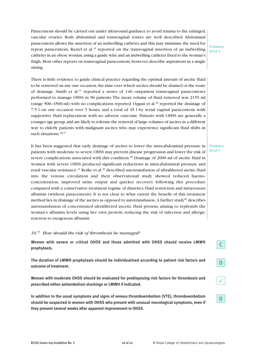Paracentesis should be carried out under ultrasound guidance to avoid trauma to the enlarged, vascular ovaries. Both abdominal and transvaginal routes are well described. Abdominal paracentesis allows the insertion of an indwelling catheter and this may minimise the need for repeat paracentesis. Raziel et al. <sup>45</sup> reported on the transvaginal insertion of an indwelling catheter in an obese woman, using a guide wire and an indwelling catheter fixed to the woman's thigh. Most other reports on transvaginal paracentesis, however, describe aspirations in a single sitting.

Evidence level 4

There is little evidence to guide clinical practice regarding the optimal amount of ascitic fluid to be removed on any one occasion, the time over which ascites should be drained or the route of drainage. Smith et al.<sup>31</sup> reported a series of 146 outpatient transvaginal paracenteses performed to manage OHSS in 96 patients.The mean volume of fluid removed was 2155 ml (range 500–4500 ml) with no complications reported. Ozgun et al. <sup>46</sup> reported the drainage of 7.5 l on one occasion over 3 hours, and a total of 45 l by serial vaginal paracentesis with supportive fluid replacement with no adverse outcome. Patients with OHSS are generally a younger age group,and are likely to tolerate the removal of large volumes of ascites in a different way to elderly patients with malignant ascites who may experience significant fluid shifts in such situations. 38,47

It has been suggested that early drainage of ascites to lower the intra-abdominal pressure in patients with moderate to severe OHSS may prevent disease progression and lower the risk of severe complications associated with this condition. <sup>48</sup> Drainage of 2000 ml of ascitic fluid in women with severe OHSS produced significant reductions in intra-abdominal pressure and renal vascular resistance. <sup>41</sup> Koike et al. <sup>49</sup> described autotransfusion of ultrafiltered ascitic fluid into the venous circulation and their observational study showed reduced haemoconcentration, improved urine output and quicker recovery following this procedure compared with a conservative treatment regime of diuretics,fluid restriction and intravenous albumin (without paracentesis). It is not clear to what extent the benefit of this treatment method lies in drainage of the ascites as opposed to autotransfusion. A further study<sup>50</sup> describes autotransfusion of concentrated ultrafiltered ascetic fluid protein, aiming to replenish the woman's albumin levels using her own protein, reducing the risk of infection and allergic reaction to exogenous albumin.

# *10.7 How should the risk of thrombosis be managed?*

**Women with severe or critical OHSS and those admitted with OHSS should receive LMWH prophylaxis.**

**The duration of LMWH prophylaxis should be individualised according to patient risk factors and outcome of treatment.**

**Women with moderate OHSS should be evaluated for predisposing risk factors for thrombosis and prescribed either antiembolism stockings or LMWH if indicated.**

**In addition to the usual symptoms and signs of venous thromboembolism (VTE), thromboembolism should be suspected in women with OHSS who present with unusual neurological symptoms, even if they present several weeks after apparent improvement in OHSS.**

Evidence level 3

**C**

**D**

**D**

 $\checkmark$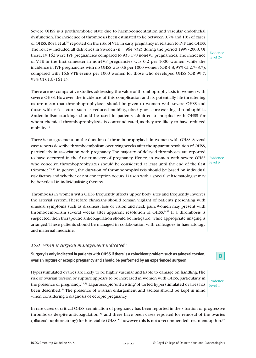Severe OHSS is a prothrombotic state due to haemoconcentration and vascular endothelial dysfunction.The incidence of thrombosis been estimated to lie between 0.7% and 10% of cases of OHSS. Rova et al.<sup>51</sup> reported on the risk of VTE in early pregnancy in relation to IVF and OHSS. The review included all deliveries in Sweden (n = 964 532) during the period 1999–2008. Of these,19 162 were IVF pregnancies compared to 935 178 non-IVF pregnancies. The incidence of VTE in the first trimester in non-IVF pregnancies was 0.2 per 1000 women, while the incidence in IVF pregnancies with no OHSS was 0.8 per 1000 women (OR 4.8,95% CI 2.7–8.7), compared with 16.8 VTE events per 1000 women for those who developed OHSS (OR 99.7, 95% CI 61.6–161.1).

There are no comparative studies addressing the value of thromboprophylaxis in women with severe OHSS. However, the incidence of this complication and its potentially life-threatening nature mean that thromboprophylaxis should be given to women with severe OHSS and those with risk factors such as reduced mobility, obesity or a pre-existing thrombophilia. Antiembolism stockings should be used in patients admitted to hospital with OHSS for whom chemical thromboprophylaxis is contraindicated, as they are likely to have reduced mobility.<sup>33</sup>

There is no agreement on the duration of thromboprophylaxis in women with OHSS. Several case reports describe thromboembolism occurring weeks after the apparent resolution of OHSS, particularly in association with pregnancy.The majority of delayed thromboses are reported to have occurred in the first trimester of pregnancy. Hence, in women with severe OHSS who conceive, thromboprophylaxis should be considered at least until the end of the first trimester.<sup>33,52</sup> In general, the duration of thromboprophylaxis should be based on individual risk factors and whether or not conception occurs.Liaison with a specialist haematologist may be beneficial in individualising therapy.

Evidence level 3

Evidence level 2+

Thrombosis in women with OHSS frequently affects upper body sites and frequently involves the arterial system.Therefore clinicians should remain vigilant of patients presenting with unusual symptoms such as dizziness, loss of vision and neck pain.Women may present with thromboembolism several weeks after apparent resolution of OHSS.<sup>9,52</sup> If a thrombosis is suspected, then therapeutic anticoagulation should be instigated, while appropriate imaging is arranged.These patients should be managed in collaboration with colleagues in haematology and maternal medicine.

#### *10.8 When is surgical management indicated?*

**Surgery is only indicated in patients withOHSS ifthere is a coincident problem such as adnexaltorsion, ovarian rupture or ectopic pregnancy and should be performed by an experienced surgeon.**

Hyperstimulated ovaries are likely to be highly vascular and liable to damage on handling.The risk of ovarian torsion or rupture appears to be increased in women with OHSS, particularly in the presence of pregnancy.<sup>22,53</sup> Laparoscopic 'untwisting' of torted hyperstimulated ovaries has been described.<sup>54</sup> The presence of ovarian enlargement and ascites should be kept in mind when considering a diagnosis of ectopic pregnancy.

**D**

Evidence level 4

In rare cases of critical OHSS, termination of pregnancy has been reported in the situation of progressive thrombosis despite anticoagulation, <sup>55</sup> and there have been cases reported for removal of the ovaries (bilateral oophorectomy) for intractable OHSS;<sup>56</sup> however, this is not a recommended treatment option.<sup>57</sup>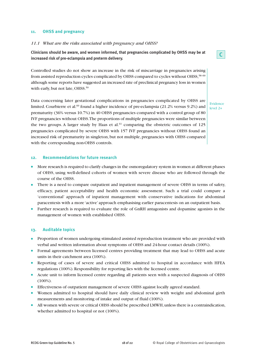# **11. OHSS and pregnancy**

#### *11.1 What are the risks associated with pregnancy and OHSS?*

**Clinicians should be aware, and women informed, that pregnancies complicated by OHSS may be at increased risk of pre-eclampsia and preterm delivery.**

Controlled studies do not show an increase in the risk of miscarriage in pregnancies arising from assisted reproduction cycles complicated by OHSS compared to cycles without OHSS,<sup>58-60</sup> although some reports have suggested an increased rate of preclinical pregnancy loss in women with early, but not late, OHSS.<sup>59</sup>

Data concerning later gestational complications in pregnancies complicated by OHSS are limited. Courbierre et al.<sup>60</sup> found a higher incidence of pre-eclampsia (21.2% versus 9.2%) and prematurity (36% versus 10.7%) in 40 OHSS pregnancies compared with a control group of 80 IVF pregnancies without OHSS.The proportions of multiple pregnancies were similar between the two groups. A larger study by Haas et al.<sup>61</sup> comparing the obstetric outcomes of 125 pregnancies complicated by severe OHSS with 157 IVF pregnancies without OHSS found an increased risk of prematurity in singleton, but not multiple, pregnancies with OHSS compared with the corresponding non-OHSS controls.

#### **12. Recommendations for future research**

- More research is required to clarify changes in the osmoregulatory system in women at different phases of OHSS, using well-defined cohorts of women with severe disease who are followed through the course of the OHSS.
- There is a need to compare outpatient and inpatient management of severe OHSS in terms of safety, efficacy, patient acceptability and health economic assessment. Such a trial could compare a 'conventional' approach of inpatient management with conservative indications for abdominal paracentesis with a more 'active' approach emphasising earlier paracentesis on an outpatient basis.
- Further research is required to evaluate the role of GnRH antagonists and dopamine agonists in the management of women with established OHSS.

#### **13. Auditable topics**

- Proportion of women undergoing stimulated assisted reproduction treatment who are provided with verbal and written information about symptoms of OHSS and 24-hour contact details (100%).
- Formal agreements between licensed centres providing treatment that may lead to OHSS and acute units in their catchment area (100%).
- Reporting of cases of severe and critical OHSS admitted to hospital in accordance with HFEA regulations (100%).Responsibility for reporting lies with the licensed centre.
- Acute unit to inform licensed centre regarding all patients seen with a suspected diagnosis of OHSS (100%).
- Effectiveness of outpatient management of severe OHSS against locally agreed standard.
- Women admitted to hospital should have daily clinical review with weight and abdominal girth measurements and monitoring of intake and output of fluid (100%).
- All women with severe or critical OHSS should be prescribed LMWH, unless there is a contraindication, whether admitted to hospital or not (100%).

**C**

Evidence level 2+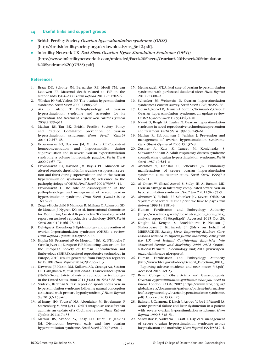#### **14. Useful links and support groups**

- British Fertility Society. *Ovarian hyperstimulation syndrome (OHSS)* [http://britishfertilitysociety.org.uk/downloads/ms\_3642.pdf].
- Infertility Network UK. *Fact Sheet: Ovarian Hyper Stimulation Syndrome (OHSS)* [http://www.infertilitynetworkuk.com/uploaded/Fact%20Sheets/Ovarian%20Hyper%20Stimulation %20Syndrome%20(OHSS).pdf].

#### **References**

- 1. Braat DD, Schutte JM, Bernardus RE, Mooij TM, van Leeuwen FE. Maternal death related to IVF in the Netherlands 1984–2008. *Hum Reprod* 2010;25:1782–6.
- 2. Whelan JG 3rd,Vlahos NF. The ovarian hyperstimulation syndrome. *Fertil Steril* 2000;73:883–96.
- 3. Ata B, Tulandi T. Pathophysiology of ovarian hyperstimulation syndrome and strategies for its prevention and treatment. *Expert Rev Obstet Gynecol* 2009;4:299–311.
- 4. Mathur RS, Tan BK. British Fertility Society Policy and Practice Committee: prevention of ovarian hyperstimulation syndrome. *Hum Fertil (Camb)* 2014;17:257–68.
- 5. Evbuomwan IO, Davison JM, Murdoch AP. Coexistent hemoconcentration and hypoosmolality during superovulation and in severe ovarian hyperstimulation syndrome: a volume homeostasis paradox. *Fertil Steril* 2000;74:67–72.
- 6. Evbuomwan IO, Davison JM, Baylis PH, Murdoch AP. Altered osmotic thresholds for arginine vasopressin secretion and thirst during superovulation and in the ovarian hyperstimulation syndrome (OHSS): relevance to the pathophysiology of OHSS. *Fertil Steril* 2001;75:933–41.
- 7. Evbuomwan I. The role of osmoregulation in the pathophysiology and management of severe ovarian hyperstimulation syndrome. *Hum Fertil (Camb)* 2013; 16:162–7.
- 8. Zegers-Hochschild F, Mansour R, Ishihara O,Adamson GD, de Mouzon J, Nygren KG, et al. International Committee for Monitoring Assisted Reproductive Technology: world report on assisted reproductive technology, 2005. *Fertil Steril* 2014;101:366–78.e14.
- 9. Delvigne A,Rozenberg S. Epidemiology and prevention of ovarian hyperstimulation syndrome (OHSS): a review. *Hum Reprod Update* 2002;8:559–77.
- 10. Kupka MS, Ferraretti AP, de Mouzon J, Erb K, D'Hooghe T, Castilla JA,et al.;European IVF-Monitoring Consortium,for the European Society of Human Reproduction and Embryology (ESHRE).Assisted reproductive technology in Europe, 2010: results generated from European registers by ESHRE. *Hum Reprod* 2014;29:2099–113.
- 11. Kawwass JF, Kissin DM, Kulkarni AD, Creanga AA, Session DR, Callaghan WM, et al.; National ART Surveillance System (NASS) Group. Safety of assisted reproductive technology in the United States, 2000-2011.*JAMA* 2015;313:88–90.
- 12. Sridev S, Barathan S. Case report on spontaneous ovarian hyperstimulation syndrome following natural conception associated with primary hypothyroidism. *J Hum Reprod Sci* 2013;6:158–61.
- 13. Al-Inany HG, Youssef MA, Aboulghar M, Broekmans F, Sterrenburg M,Smit J,et al.GnRH antagonists are safer than agonists: an update of a Cochrane review. *Hum Reprod Update* 2011;17:435.
- 14. Mathur RS, Akande AV, Keay SD, Hunt LP, Jenkins JM. Distinction between early and late ovarian hyperstimulation syndrome. *Fertil Steril* 2000;73:901–7.
- 15. Memarzadeh MT.A fatal case of ovarian hyperstimulation syndrome with perforated duodenal ulcer. *Hum Reprod* 2010;25:808–9.
- 16. Schenker JG, Weinstein D. Ovarian hyperstimulation syndrome: a current survey. *Fertil Steril* 1978;30:255–68.
- 17. Golan A, Ron-el R, Herman A, Soffer Y, Weinraub Z, Caspi E. Ovarian hyperstimulation syndrome: an update review. *Obstet Gynecol Surv* 1989;44:430–40.
- 18. Navot D, Bergh PA, Laufer N. Ovarian hyperstimulation syndrome in novel reproductive technologies: prevention and treatment. *Fertil Steril* 1992;58:249–61.
- 19. Mathur R, Evbuomwan I, Jenkins J. Prevention and management of ovarian hyperstimulation syndrome. *Curr Obstet Gynaecol* 2005;15:132–8.
- 20. Zosmer A, Katz Z, Lancet M, Konichezky S, Schwartz-Shoham Z.Adult respiratory distress syndrome complicating ovarian hyperstimulation syndrome. *Fertil Steril* 1987;47:524–6.
- 21. Abramov Y, Elchalal U, Schenker JG. Pulmonary manifestations of severe ovarian hyperstimulation syndrome: a multicenter study. *Fertil Steril* 1999;71: 645–51.
- 22. Al Omari W, Ghazal-Aswad S, Sidky IH, Al Bassam MK. Ovarian salvage in bilaterally complicated severe ovarian hyperstimulation syndrome. *Fertil Steril* 2011;96:e77–9.
- 23. Abramov Y, Elchalal U, Schenker JG. Severe OHSS: An 'epidemic' of severe OHSS: a price we have to pay? *Hum Reprod* 1999;14:2181–3.
- 24. Human Fertilisation and Embryology Authority [http://www.hfea.gov.uk/docs/Latest\_long\_term\_data\_ analysis\_report\_91-06.pdf.pdf]. Accessed 2015 Oct 23.
- 25. Knight M, Kenyon S, Brocklehurst P, Neilson J, Shakespeare J, Kurinczuk JJ (Eds.) on behalf of MBRRACE-UK. *Saving Lives, Improving Mothers' Care: Lessons learned to inform future maternity care from the UK and Ireland Confidential Enquiries into Maternal Deaths and Morbidity 2009–2012.* Oxford: National Perinatal Epidemiology Unit; 2014 [www.npeu. ox.ac.uk/mbrrace-uk/reports].
- 26. Human Fertilisation and Embryology Authority [http://www.hfea.gov.uk/docs/General\_Directions\_0011\_ -\_Reporting\_adverse\_incidents\_and\_near\_misses\_V3.pdf]. Accessed 2015 Oct 23.
- 27. Royal College of Obstetricians and Gynaecologists. *Ovarian hyperstimulation syndrome: what you need to know.* London: RCOG; 2007 [https://www.rcog.org.uk/ globalassets/documents/patients/patient-informationleaflets/gynaecology/ovarian-hyperstimulation-syndrome. pdf].Accessed 2015 Oct 23.
- 28. Balasch J, Carmona F, Llach J,Arroyo V, Jové I,Vanrell JA. Acute prerenal failure and liver dysfunction in a patient with severe ovarian hyperstimulation syndrome. *Hum Reprod* 1990;5:348–51.
- 29. Shrivastav P, Nadkarni P, Craft I. Day care management of severe ovarian hyperstimulation syndrome avoids hospitalization and morbidity.*Hum Reprod* 1994;9:812–4.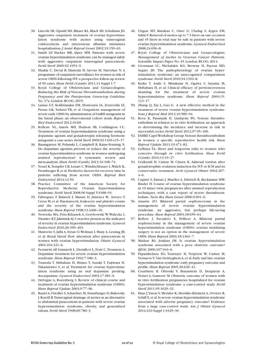- 30. Lincoln SR, Opsahl MS, Blauer KL, Black SH, Schulman JD. Aggressive outpatient treatment of ovarian hyperstimulation syndrome with ascites using transvaginal culdocentesis and intravenous albumin minimizes hospitalization.*J Assist Reprod Genet* 2002;19:159–63.
- 31. Smith LP, Hacker MR, Alper MM. Patients with severe ovarian hyperstimulation syndrome can be managed safely with aggressive outpatient transvaginal paracentesis. *Fertil Steril* 2009;92:1953–9.
- 32. Shukla U, Deval B, Hamoda H, Savvas M, Narvekar N. A programme of outpatient surveillance for women at risk of severe OHSS following IVF:a prospective follow-up review of 99 cases. *Hum Fertil (Camb)* 2011;14 Suppl 1:7.
- 33. Royal College of Obstetricians and Gynaecologists. *Reducing the Risk of Venous Thromboembolism during Pregnancy and the Puerperium*. Green-top Guideline No. 37a. London: RCOG; 2015.
- 34. Lainas GT, Kolibianakis EM, Sfontouris IA, Zorzovilis IZ, Petsas GK, Tarlatzi TB, et al. Outpatient management of severe early OHSS by administration of GnRH antagonist in the luteal phase: an observational cohort study. *Reprod Biol Endocrinol* 2012;10:69.
- 35. Rollene NL, Amols MH, Hudson SB, Coddington CC. Treatment of ovarian hyperstimulation syndrome using a dopamine agonist and gonadotropin releasing hormone antagonist:a case series.*Fertil Steril* 2009;92:1169.e15–17.
- 36. Baumgarten M, Polanski L, Campbell B, Raine-Fenning N. Do dopamine agonists prevent or reduce the severity of ovarian hyperstimulation syndrome in women undergoing assisted reproduction? A systematic review and meta-analysis. *Hum Fertil (Camb)* 2013;16:168–74.
- 37. Nouri K,Tempfer CB, Lenart C,Windischbauer L,Walch K, Promberger R,et al.Predictive factors for recovery time in patients suffering from severe OHSS. *Reprod Biol Endocrinol* 2014;12:59.
- 38. Practice Committee of the American Society for Reproductive Medicine. Ovarian hyperstimulation syndrome. *Fertil Steril* 2008;90 Suppl 5:S188–93.
- 39. Fábregues F, Balasch J, Manau D, Jiménez W, Arroyo V, Creus M, et al. Haematocrit, leukocyte and platelet counts and the severity of the ovarian hyperstimulation syndrome. *Hum Reprod* 1998;13:2406–10.
- 40. Nowicka MA, Fritz-Rdzanek A, Grzybowski W,Walecka I, Niemiec KT,JakimiukAJ.C-reactive protein as the indicator of severity in ovarian hyperstimulation syndrome.*Gynecol Endocrinol* 2010;26:399–403.
- 41. Maslovitz S, Jaffa A, Eytan O,Wolman I, Many A, Lessing JB, et al. Renal blood flow alteration after paracentesis in women with ovarian hyperstimulation. *Obstet Gynecol* 2004;104:321–6.
- 42. Ferraretti AP, Gianaroli L, Diotallevi L, Festi C,Trounson A. Dopamine treatment for severe ovarian hyperstimulation syndrome. *Hum Reprod* 1992;7:180–3.
- 43. Tsunoda T, Shibahara H, Hirano Y, Suzuki T, Fujiwara H, Takamizawa S, et al. Treatment for ovarian hyperstimulation syndrome using an oral dopamine prodrug, docarpamine. *Gynecol Endocrinol* 2003;17:281–6.
- 44. Delvigne A, Rozenberg S. Review of clinical course and treatment of ovarian hyperstimulation syndrome (OHSS). *Hum Reprod Update* 2003;9:77–96.
- 45. Raziel A, Friedler S, Schachter M, Strassburger D, Bukovsky I,Ron-El R.Transvaginal drainage of ascites as an alternative to abdominal paracentesis in patients with severe ovarian hyperstimulation syndrome, obesity, and generalized edema. *Fertil Steril* 1998;69:780–3.
- 46. Ozgun MT, Batukan C, Oner G, Uludag S, Aygen EM, Sahin Y. Removal of ascites up to 7.5 liters on one occasion and 45 liters in total may be safe in patients with severe ovarian hyperstimulation syndrome. *Gynecol Endocrinol* 2008;24:656–8.
- 47. Royal College of Obstetricians and Gynaecologists. *Management of Ascites in Ovarian Cancer Patients.* Scientific Impact Paper No. 45. London: RCOG; 2014.
- 48. Grossman LC, Michalakis KG, Browne H, Payson MD, Segars JH. The pathophysiology of ovarian hyperstimulation syndrome: an unrecognized compartment syndrome. *Fertil Steril* 2010;94:1392–8.
- 49. Koike T, Araki S, Minakami H, Ogawa S, Sayama M, Shibahara H, et al. Clinical efficacy of peritoneovenous shunting for the treatment of severe ovarian hyperstimulation syndrome. *Hum Reprod* 2000;15: 113–17.
- 50. Zhang Q, Xia L, Gao G. A new effective method in the treatment of severe ovarian hyperstimulation syndrome. *Iran J Reprod Med* 2012;10:589–94.
- 51. Rova K, Passmark H, Lindqvist PG. Venous thromboembolism in relation to in vitro fertilization: an approach to determining the incidence and increase in risk in successful cycles. *Fertil Steril* 2012;97:95–100.
- 52. ESHRE CapriWorkshop Group.Venous thromboembolism in women: a specific reproductive health risk. *Hum Reprod Update* 2013;19:471–82.
- 53. Gelbaya TA. Short and long-term risks to women who conceive through *in vitro* fertilization. *Hum Fertil (Camb)* 2010;13:19–27.
- 54. Gorkemli H, Camus M, Clasen K. Adnexal torsion after gonadotrophin ovulation induction for IVF or ICSI and its conservative treatment. *Arch Gynecol Obstet* 2002;267: 4–6.
- 55. Cupisti S, Emran J, Mueller A, Dittrich R, Beckmann MW, Binder H. Course of ovarian hyperstimulation syndrome in 19 intact twin pregnancies after assisted reproduction techniques, with a case report of severe thromboembolism. *Twin Res Hum Genet* 2006;9:691–6.
- 56. Amarin ZO. Bilateral partial oophorectomy in the management of severe ovarian hyperstimulation syndrome. An aggressive, but perhaps life-saving procedure. *Hum Reprod* 2003;18:659–64.
- 57. Bellver J, Escudero E, Pellicer A. Bilateral partial oophorectomy in the management of severe ovarian hyperstimulation syndrome (OHSS): ovarian mutilating surgery is not an option in the management of severe OHSS. *Hum Reprod* 2003;18:1363–7.
- 58. Mathur RS, Jenkins JM. Is ovarian hyperstimulation syndrome associated with a poor obstetric outcome? *BJOG* 2000;107:943–6.
- 59. Papanikolaou EG, Tournaye H, Verpoest W, Camus M, VernaeveV, Van Steirteghem A, et al. Early and late ovarian hyperstimulation syndrome: early pregnancy outcome and profile. *Hum Reprod* 2005;20:636–41.
- 60. Courbiere B, Oborski V, Braunstein D, Desparoir A, Noizet A, Gamerre M. Obstetric outcome of women with in vitro fertilization pregnancies hospitalized for ovarian hyperstimulation syndrome: a case-control study. *Fertil Steril* 2011;95:1629–32.
- 61. Haas J,Yinon Y, Meridor K, Hershko-Klement A, Orvieto R, Schiff E, et al. Is severe ovarian hyperstimulation syndrome associated with adverse pregnancy outcome? Evidence from a large case-control study. *Am J Obstet Gynecol* 2014;210 Suppl 1:S329–30.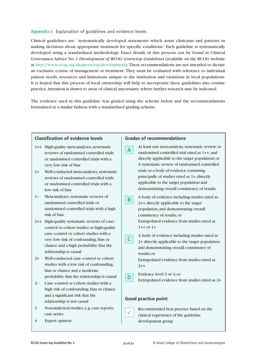# **Appendix I:** Explanation of guidelines and evidence levels

Clinical guidelines are: 'systematically developed statements which assist clinicians and patients in making decisions about appropriate treatment for specific conditions'. Each guideline is systematically developed using a standardised methodology. Exact details of this process can be found in Clinical Governance Advice No. 1 *Development of RCOG Green-top Guidelines* (available on the RCOG website at http://www.rcog.org.uk/green-top-development). These recommendations are not intended to dictate an exclusive course of management or treatment. They must be evaluated with reference to individual patient needs, resources and limitations unique to the institution and variations in local populations. It is hoped that this process of local ownership will help to incorporate these guidelines into routine practice.Attention is drawn to areas of clinical uncertainty where further research may be indicated.

The evidence used in this guideline was graded using the scheme below and the recommendations formulated in a similar fashion with a standardised grading scheme.